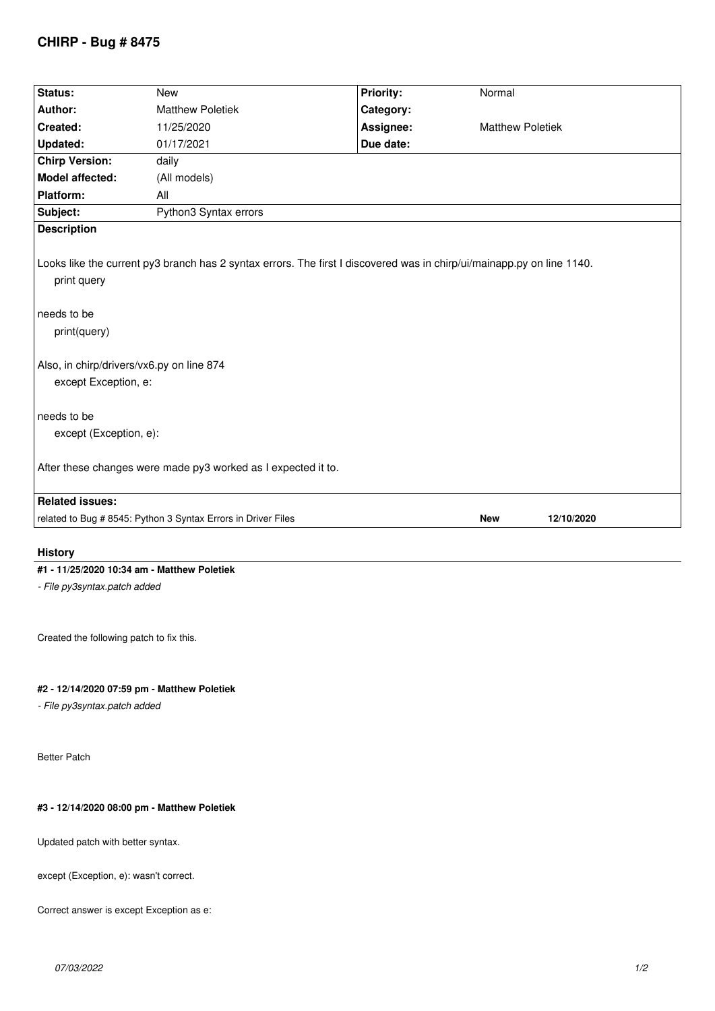# **CHIRP - Bug # 8475**

| Status:                                                                                                                                                                                                                                   | New                                                           | <b>Priority:</b> | Normal                   |  |  |
|-------------------------------------------------------------------------------------------------------------------------------------------------------------------------------------------------------------------------------------------|---------------------------------------------------------------|------------------|--------------------------|--|--|
| Author:                                                                                                                                                                                                                                   | <b>Matthew Poletiek</b>                                       | Category:        |                          |  |  |
| Created:                                                                                                                                                                                                                                  | 11/25/2020                                                    | Assignee:        | <b>Matthew Poletiek</b>  |  |  |
| <b>Updated:</b>                                                                                                                                                                                                                           | 01/17/2021                                                    | Due date:        |                          |  |  |
| <b>Chirp Version:</b>                                                                                                                                                                                                                     | daily                                                         |                  |                          |  |  |
| <b>Model affected:</b>                                                                                                                                                                                                                    | (All models)                                                  |                  |                          |  |  |
| Platform:                                                                                                                                                                                                                                 | All                                                           |                  |                          |  |  |
| Subject:                                                                                                                                                                                                                                  | Python3 Syntax errors                                         |                  |                          |  |  |
| <b>Description</b>                                                                                                                                                                                                                        |                                                               |                  |                          |  |  |
| Looks like the current py3 branch has 2 syntax errors. The first I discovered was in chirp/ui/mainapp.py on line 1140.<br>print query<br>needs to be<br>print(query)<br>Also, in chirp/drivers/vx6.py on line 874<br>except Exception, e: |                                                               |                  |                          |  |  |
| needs to be                                                                                                                                                                                                                               |                                                               |                  |                          |  |  |
| except (Exception, e):                                                                                                                                                                                                                    |                                                               |                  |                          |  |  |
| After these changes were made py3 worked as I expected it to.                                                                                                                                                                             |                                                               |                  |                          |  |  |
| <b>Related issues:</b>                                                                                                                                                                                                                    |                                                               |                  |                          |  |  |
|                                                                                                                                                                                                                                           | related to Bug # 8545: Python 3 Syntax Errors in Driver Files |                  | <b>New</b><br>12/10/2020 |  |  |
|                                                                                                                                                                                                                                           |                                                               |                  |                          |  |  |

### **History**

## **#1 - 11/25/2020 10:34 am - Matthew Poletiek**

*- File py3syntax.patch added*

*Created the following patch to fix this.*

### **#2 - 12/14/2020 07:59 pm - Matthew Poletiek**

*- File py3syntax.patch added*

*Better Patch*

### **#3 - 12/14/2020 08:00 pm - Matthew Poletiek**

*Updated patch with better syntax.*

*except (Exception, e): wasn't correct.*

*Correct answer is except Exception as e:*